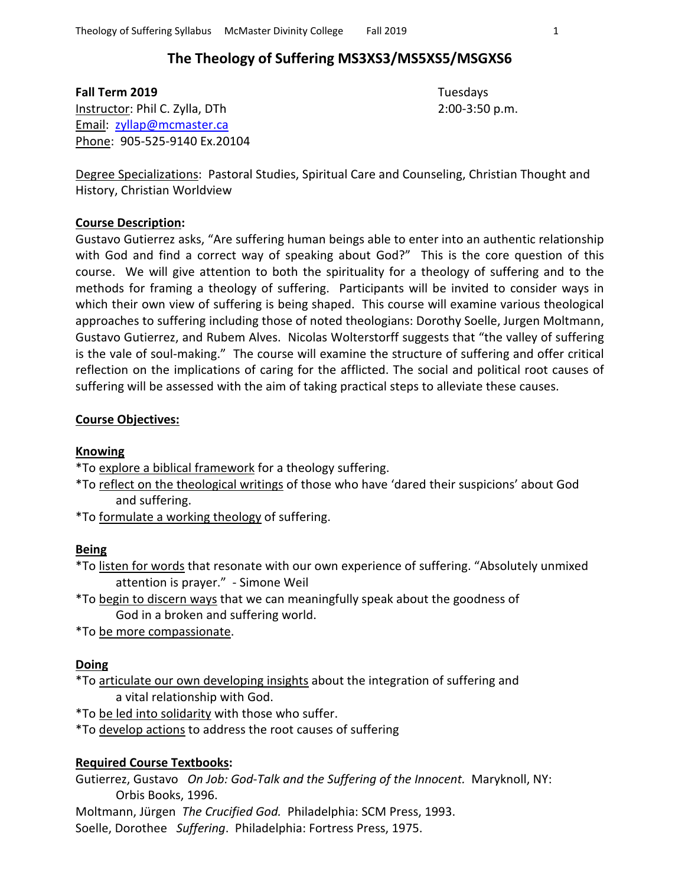# **The Theology of Suffering MS3XS3/MS5XS5/MSGXS6**

**Fall Term 2019** Tuesdays Instructor: Phil C. Zylla, DTh 2:00-3:50 p.m. Email: [zyllap@mcmaster.ca](mailto:zyllap@mcmaster.ca) Phone: 905-525-9140 Ex.20104

Degree Specializations: Pastoral Studies, Spiritual Care and Counseling, Christian Thought and History, Christian Worldview

### **Course Description:**

Gustavo Gutierrez asks, "Are suffering human beings able to enter into an authentic relationship with God and find a correct way of speaking about God?" This is the core question of this course. We will give attention to both the spirituality for a theology of suffering and to the methods for framing a theology of suffering. Participants will be invited to consider ways in which their own view of suffering is being shaped. This course will examine various theological approaches to suffering including those of noted theologians: Dorothy Soelle, Jurgen Moltmann, Gustavo Gutierrez, and Rubem Alves. Nicolas Wolterstorff suggests that "the valley of suffering is the vale of soul-making." The course will examine the structure of suffering and offer critical reflection on the implications of caring for the afflicted. The social and political root causes of suffering will be assessed with the aim of taking practical steps to alleviate these causes.

## **Course Objectives:**

#### **Knowing**

\*To explore a biblical framework for a theology suffering.

\*To reflect on the theological writings of those who have 'dared their suspicions' about God and suffering.

\*To formulate a working theology of suffering.

### **Being**

\*To listen for words that resonate with our own experience of suffering. "Absolutely unmixed attention is prayer." - Simone Weil

\*To begin to discern ways that we can meaningfully speak about the goodness of God in a broken and suffering world.

\*To be more compassionate.

### **Doing**

\*To articulate our own developing insights about the integration of suffering and a vital relationship with God.

\*To be led into solidarity with those who suffer.

\*To develop actions to address the root causes of suffering

## **Required Course Textbooks:**

Gutierrez, Gustavo *On Job: God-Talk and the Suffering of the Innocent.* Maryknoll, NY: Orbis Books, 1996.

Moltmann, Jürgen *The Crucified God.* Philadelphia: SCM Press, 1993. Soelle, Dorothee *Suffering*. Philadelphia: Fortress Press, 1975.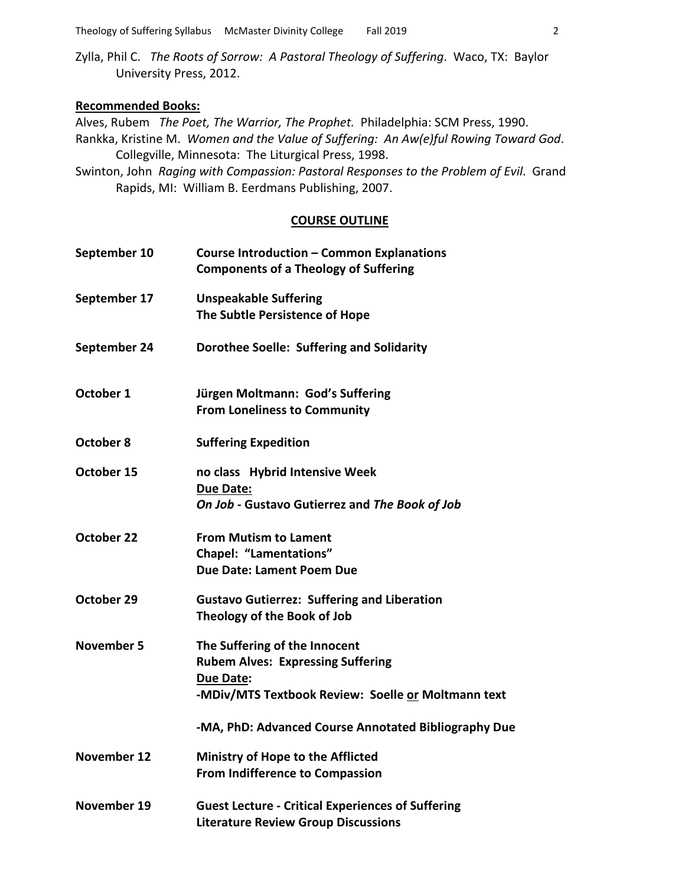Zylla, Phil C. *The Roots of Sorrow: A Pastoral Theology of Suffering*. Waco, TX: Baylor University Press, 2012.

#### **Recommended Books:**

Alves, Rubem *The Poet, The Warrior, The Prophet.* Philadelphia: SCM Press, 1990. Rankka, Kristine M. *Women and the Value of Suffering: An Aw(e)ful Rowing Toward God*. Collegville, Minnesota: The Liturgical Press, 1998.

Swinton, John *Raging with Compassion: Pastoral Responses to the Problem of Evil*. Grand Rapids, MI: William B. Eerdmans Publishing, 2007.

#### **COURSE OUTLINE**

| September 10      | <b>Course Introduction - Common Explanations</b><br><b>Components of a Theology of Suffering</b>                                                    |
|-------------------|-----------------------------------------------------------------------------------------------------------------------------------------------------|
| September 17      | <b>Unspeakable Suffering</b><br>The Subtle Persistence of Hope                                                                                      |
| September 24      | Dorothee Soelle: Suffering and Solidarity                                                                                                           |
| October 1         | Jürgen Moltmann: God's Suffering<br><b>From Loneliness to Community</b>                                                                             |
| October 8         | <b>Suffering Expedition</b>                                                                                                                         |
| October 15        | no class Hybrid Intensive Week<br><b>Due Date:</b><br>On Job - Gustavo Gutierrez and The Book of Job                                                |
| October 22        | <b>From Mutism to Lament</b><br><b>Chapel: "Lamentations"</b><br><b>Due Date: Lament Poem Due</b>                                                   |
| October 29        | <b>Gustavo Gutierrez: Suffering and Liberation</b><br>Theology of the Book of Job                                                                   |
| <b>November 5</b> | The Suffering of the Innocent<br><b>Rubem Alves: Expressing Suffering</b><br><b>Due Date:</b><br>-MDiv/MTS Textbook Review: Soelle or Moltmann text |
|                   | -MA, PhD: Advanced Course Annotated Bibliography Due                                                                                                |
| November 12       | <b>Ministry of Hope to the Afflicted</b><br><b>From Indifference to Compassion</b>                                                                  |
| November 19       | <b>Guest Lecture - Critical Experiences of Suffering</b><br><b>Literature Review Group Discussions</b>                                              |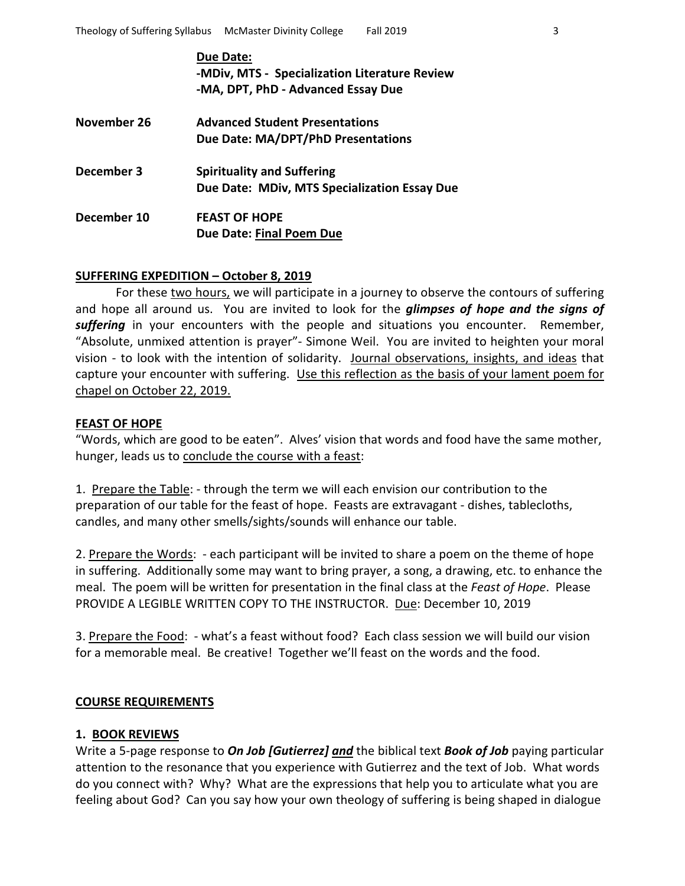|             | Due Date:<br>-MDiv, MTS - Specialization Literature Review<br>-MA, DPT, PhD - Advanced Essay Due |
|-------------|--------------------------------------------------------------------------------------------------|
| November 26 | <b>Advanced Student Presentations</b><br>Due Date: MA/DPT/PhD Presentations                      |
| December 3  | <b>Spirituality and Suffering</b><br>Due Date: MDiv, MTS Specialization Essay Due                |
| December 10 | <b>FEAST OF HOPE</b><br>Due Date: Final Poem Due                                                 |

## **SUFFERING EXPEDITION – October 8, 2019**

For these two hours, we will participate in a journey to observe the contours of suffering and hope all around us. You are invited to look for the *glimpses of hope and the signs of suffering* in your encounters with the people and situations you encounter. Remember, "Absolute, unmixed attention is prayer"- Simone Weil. You are invited to heighten your moral vision - to look with the intention of solidarity. Journal observations, insights, and ideas that capture your encounter with suffering. Use this reflection as the basis of your lament poem for chapel on October 22, 2019.

## **FEAST OF HOPE**

"Words, which are good to be eaten". Alves' vision that words and food have the same mother, hunger, leads us to conclude the course with a feast:

1. Prepare the Table: - through the term we will each envision our contribution to the preparation of our table for the feast of hope. Feasts are extravagant - dishes, tablecloths, candles, and many other smells/sights/sounds will enhance our table.

2. Prepare the Words: - each participant will be invited to share a poem on the theme of hope in suffering. Additionally some may want to bring prayer, a song, a drawing, etc. to enhance the meal. The poem will be written for presentation in the final class at the *Feast of Hope*. Please PROVIDE A LEGIBLE WRITTEN COPY TO THE INSTRUCTOR. Due: December 10, 2019

3. Prepare the Food: - what's a feast without food? Each class session we will build our vision for a memorable meal. Be creative! Together we'll feast on the words and the food.

#### **COURSE REQUIREMENTS**

#### **1. BOOK REVIEWS**

Write a 5-page response to *On Job [Gutierrez] and* the biblical text *Book of Job* paying particular attention to the resonance that you experience with Gutierrez and the text of Job. What words do you connect with? Why? What are the expressions that help you to articulate what you are feeling about God? Can you say how your own theology of suffering is being shaped in dialogue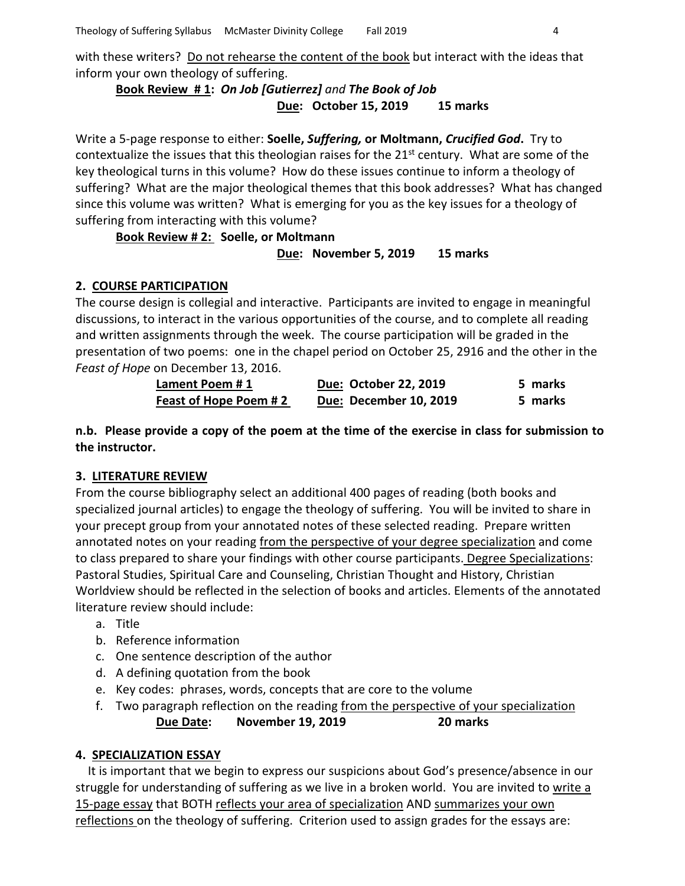with these writers? Do not rehearse the content of the book but interact with the ideas that inform your own theology of suffering.

**Book Review # 1:** *On Job [Gutierrez] and The Book of Job* **Due: October 15, 2019 15 marks**

Write a 5-page response to either: **Soelle,** *Suffering,* **or Moltmann,** *Crucified God***.** Try to contextualize the issues that this theologian raises for the  $21<sup>st</sup>$  century. What are some of the key theological turns in this volume? How do these issues continue to inform a theology of suffering? What are the major theological themes that this book addresses? What has changed since this volume was written? What is emerging for you as the key issues for a theology of suffering from interacting with this volume?

**Book Review # 2: Soelle, or Moltmann Due: November 5, 2019 15 marks**

# **2. COURSE PARTICIPATION**

The course design is collegial and interactive. Participants are invited to engage in meaningful discussions, to interact in the various opportunities of the course, and to complete all reading and written assignments through the week. The course participation will be graded in the presentation of two poems: one in the chapel period on October 25, 2916 and the other in the *Feast of Hope* on December 13, 2016.

| Lament Poem #1        | Due: October 22, 2019  | 5 marks |
|-----------------------|------------------------|---------|
| Feast of Hope Poem #2 | Due: December 10, 2019 | 5 marks |

**n.b. Please provide a copy of the poem at the time of the exercise in class for submission to the instructor.**

# **3. LITERATURE REVIEW**

From the course bibliography select an additional 400 pages of reading (both books and specialized journal articles) to engage the theology of suffering. You will be invited to share in your precept group from your annotated notes of these selected reading. Prepare written annotated notes on your reading from the perspective of your degree specialization and come to class prepared to share your findings with other course participants. Degree Specializations: Pastoral Studies, Spiritual Care and Counseling, Christian Thought and History, Christian Worldview should be reflected in the selection of books and articles. Elements of the annotated literature review should include:

- a. Title
- b. Reference information
- c. One sentence description of the author
- d. A defining quotation from the book
- e. Key codes: phrases, words, concepts that are core to the volume
- f. Two paragraph reflection on the reading from the perspective of your specialization **Due Date: November 19, 2019 20 marks**

## **4. SPECIALIZATION ESSAY**

 It is important that we begin to express our suspicions about God's presence/absence in our struggle for understanding of suffering as we live in a broken world. You are invited to write a 15-page essay that BOTH reflects your area of specialization AND summarizes your own reflections on the theology of suffering. Criterion used to assign grades for the essays are: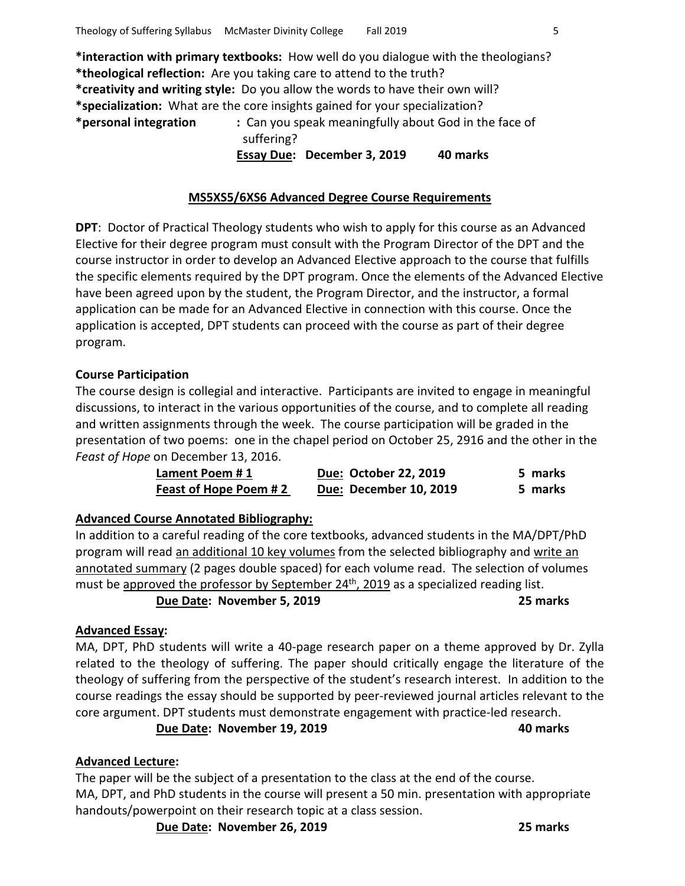**\*interaction with primary textbooks:** How well do you dialogue with the theologians? **\*theological reflection:** Are you taking care to attend to the truth? **\*creativity and writing style:** Do you allow the words to have their own will? **\*specialization:** What are the core insights gained for your specialization? **\*personal integration :** Can you speak meaningfully about God in the face of suffering?

 **Essay Due: December 3, 2019 40 marks**

## **MS5XS5/6XS6 Advanced Degree Course Requirements**

**DPT**: Doctor of Practical Theology students who wish to apply for this course as an Advanced Elective for their degree program must consult with the Program Director of the DPT and the course instructor in order to develop an Advanced Elective approach to the course that fulfills the specific elements required by the DPT program. Once the elements of the Advanced Elective have been agreed upon by the student, the Program Director, and the instructor, a formal application can be made for an Advanced Elective in connection with this course. Once the application is accepted, DPT students can proceed with the course as part of their degree program.

## **Course Participation**

The course design is collegial and interactive. Participants are invited to engage in meaningful discussions, to interact in the various opportunities of the course, and to complete all reading and written assignments through the week. The course participation will be graded in the presentation of two poems: one in the chapel period on October 25, 2916 and the other in the *Feast of Hope* on December 13, 2016.

| Lament Poem #1         | Due: October 22, 2019  | 5 marks |
|------------------------|------------------------|---------|
| Feast of Hope Poem # 2 | Due: December 10, 2019 | 5 marks |

## **Advanced Course Annotated Bibliography:**

In addition to a careful reading of the core textbooks, advanced students in the MA/DPT/PhD program will read an additional 10 key volumes from the selected bibliography and write an annotated summary (2 pages double spaced) for each volume read. The selection of volumes must be approved the professor by September 24<sup>th</sup>, 2019 as a specialized reading list.

**Due Date: November 5, 2019 25 marks**

## **Advanced Essay:**

MA, DPT, PhD students will write a 40-page research paper on a theme approved by Dr. Zylla related to the theology of suffering. The paper should critically engage the literature of the theology of suffering from the perspective of the student's research interest. In addition to the course readings the essay should be supported by peer-reviewed journal articles relevant to the core argument. DPT students must demonstrate engagement with practice-led research.

**Due Date: November 19, 2019 40 marks**

## **Advanced Lecture:**

The paper will be the subject of a presentation to the class at the end of the course. MA, DPT, and PhD students in the course will present a 50 min. presentation with appropriate handouts/powerpoint on their research topic at a class session.

**Due Date: November 26, 2019 25 marks**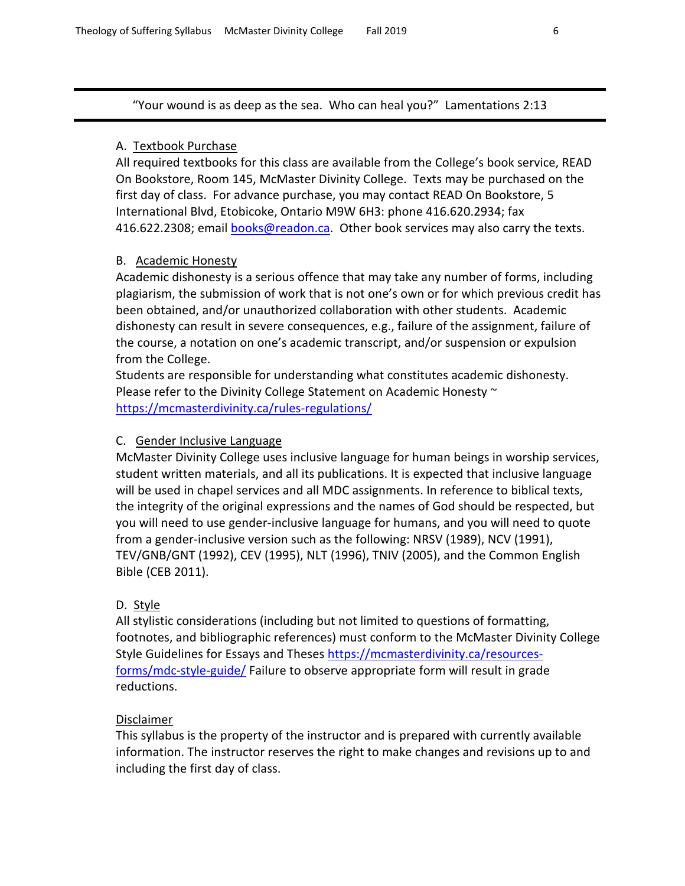"Your wound is as deep as the sea. Who can heal you?" Lamentations 2:13

# A. Textbook Purchase

All required textbooks for this class are available from the College's book service, READ On Bookstore, Room 145, McMaster Divinity College. Texts may be purchased on the first day of class. For advance purchase, you may contact READ On Bookstore, 5 International Blvd, Etobicoke, Ontario M9W 6H3: phone 416.620.2934; fax 416.622.2308; email [books@readon.ca.](mailto:books@readon.ca) Other book services may also carry the texts.

# B. Academic Honesty

Academic dishonesty is a serious offence that may take any number of forms, including plagiarism, the submission of work that is not one's own or for which previous credit has been obtained, and/or unauthorized collaboration with other students. Academic dishonesty can result in severe consequences, e.g., failure of the assignment, failure of the course, a notation on one's academic transcript, and/or suspension or expulsion from the College.

Students are responsible for understanding what constitutes academic dishonesty. Please refer to the Divinity College Statement on Academic Honesty  $\sim$ <https://mcmasterdivinity.ca/rules-regulations/>

# C. Gender Inclusive Language

McMaster Divinity College uses inclusive language for human beings in worship services, student written materials, and all its publications. It is expected that inclusive language will be used in chapel services and all MDC assignments. In reference to biblical texts, the integrity of the original expressions and the names of God should be respected, but you will need to use gender-inclusive language for humans, and you will need to quote from a gender-inclusive version such as the following: NRSV (1989), NCV (1991), TEV/GNB/GNT (1992), CEV (1995), NLT (1996), TNIV (2005), and the Common English Bible (CEB 2011).

# D. Style

All stylistic considerations (including but not limited to questions of formatting, footnotes, and bibliographic references) must conform to the McMaster Divinity College Style Guidelines for Essays and Theses [https://mcmasterdivinity.ca/resources](https://mcmasterdivinity.ca/resources-forms/mdc-style-guide/)[forms/mdc-style-guide/](https://mcmasterdivinity.ca/resources-forms/mdc-style-guide/) Failure to observe appropriate form will result in grade reductions.

# Disclaimer

This syllabus is the property of the instructor and is prepared with currently available information. The instructor reserves the right to make changes and revisions up to and including the first day of class.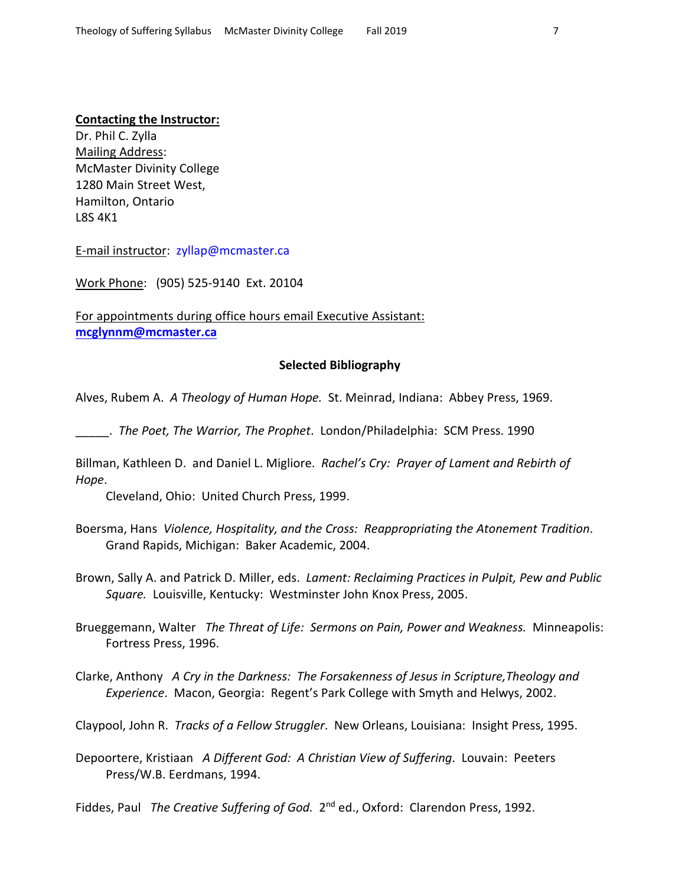### **Contacting the Instructor:**

Dr. Phil C. Zylla Mailing Address: McMaster Divinity College 1280 Main Street West, Hamilton, Ontario L8S 4K1

E-mail instructor: [zyllap@mcmaster.ca](mailto:zyllap@mcmaster.ca)

Work Phone: (905) 525-9140 Ext. 20104

For appointments during office hours email Executive Assistant: **[mcglynnm@mcmaster.ca](mailto:mcglynnm@mcmaster.ca)**

#### **Selected Bibliography**

Alves, Rubem A. *A Theology of Human Hope.* St. Meinrad, Indiana: Abbey Press, 1969.

\_\_\_\_\_. *The Poet, The Warrior, The Prophet*. London/Philadelphia: SCM Press. 1990

Billman, Kathleen D. and Daniel L. Migliore. *Rachel's Cry: Prayer of Lament and Rebirth of Hope*.

Cleveland, Ohio: United Church Press, 1999.

- Boersma, Hans *Violence, Hospitality, and the Cross: Reappropriating the Atonement Tradition*. Grand Rapids, Michigan: Baker Academic, 2004.
- Brown, Sally A. and Patrick D. Miller, eds. *Lament: Reclaiming Practices in Pulpit, Pew and Public Square.* Louisville, Kentucky: Westminster John Knox Press, 2005.
- Brueggemann, Walter *The Threat of Life: Sermons on Pain, Power and Weakness.* Minneapolis: Fortress Press, 1996.
- Clarke, Anthony *A Cry in the Darkness: The Forsakenness of Jesus in Scripture,Theology and Experience*. Macon, Georgia: Regent's Park College with Smyth and Helwys, 2002.

Claypool, John R. *Tracks of a Fellow Struggler*. New Orleans, Louisiana: Insight Press, 1995.

Depoortere, Kristiaan *A Different God: A Christian View of Suffering*. Louvain: Peeters Press/W.B. Eerdmans, 1994.

Fiddes, Paul *The Creative Suffering of God.* 2<sup>nd</sup> ed., Oxford: Clarendon Press, 1992.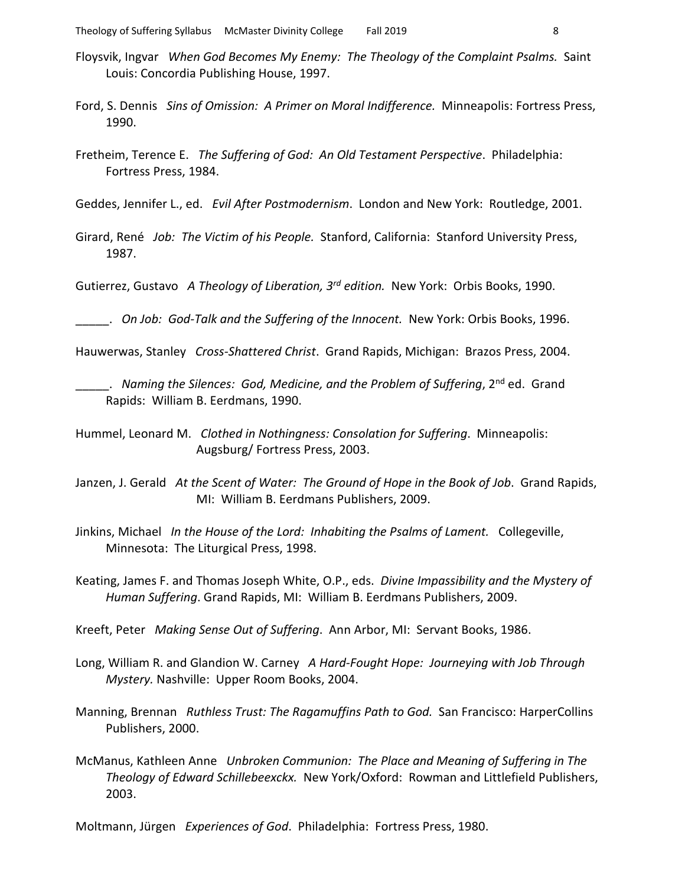- Floysvik, Ingvar *When God Becomes My Enemy: The Theology of the Complaint Psalms.* Saint Louis: Concordia Publishing House, 1997.
- Ford, S. Dennis *Sins of Omission: A Primer on Moral Indifference.* Minneapolis: Fortress Press, 1990.
- Fretheim, Terence E. *The Suffering of God: An Old Testament Perspective*. Philadelphia: Fortress Press, 1984.

Geddes, Jennifer L., ed. *Evil After Postmodernism*. London and New York: Routledge, 2001.

Girard, René *Job: The Victim of his People.* Stanford, California: Stanford University Press, 1987.

Gutierrez, Gustavo *A Theology of Liberation, 3rd edition.* New York: Orbis Books, 1990.

\_\_\_\_\_. *On Job: God-Talk and the Suffering of the Innocent.* New York: Orbis Books, 1996.

Hauwerwas, Stanley *Cross-Shattered Christ*. Grand Rapids, Michigan: Brazos Press, 2004.

\_\_\_\_\_. *Naming the Silences: God, Medicine, and the Problem of Suffering*, 2nd ed. Grand Rapids: William B. Eerdmans, 1990.

Hummel, Leonard M. *Clothed in Nothingness: Consolation for Suffering*. Minneapolis: Augsburg/ Fortress Press, 2003.

Janzen, J. Gerald *At the Scent of Water: The Ground of Hope in the Book of Job*. Grand Rapids, MI: William B. Eerdmans Publishers, 2009.

Jinkins, Michael *In the House of the Lord: Inhabiting the Psalms of Lament.* Collegeville, Minnesota: The Liturgical Press, 1998.

Keating, James F. and Thomas Joseph White, O.P., eds. *Divine Impassibility and the Mystery of Human Suffering*. Grand Rapids, MI: William B. Eerdmans Publishers, 2009.

Kreeft, Peter *Making Sense Out of Suffering*. Ann Arbor, MI: Servant Books, 1986.

- Long, William R. and Glandion W. Carney *A Hard-Fought Hope: Journeying with Job Through Mystery.* Nashville: Upper Room Books, 2004.
- Manning, Brennan *Ruthless Trust: The Ragamuffins Path to God.* San Francisco: HarperCollins Publishers, 2000.
- McManus, Kathleen Anne *Unbroken Communion: The Place and Meaning of Suffering in The Theology of Edward Schillebeexckx.* New York/Oxford: Rowman and Littlefield Publishers, 2003.

Moltmann, Jürgen *Experiences of God*. Philadelphia: Fortress Press, 1980.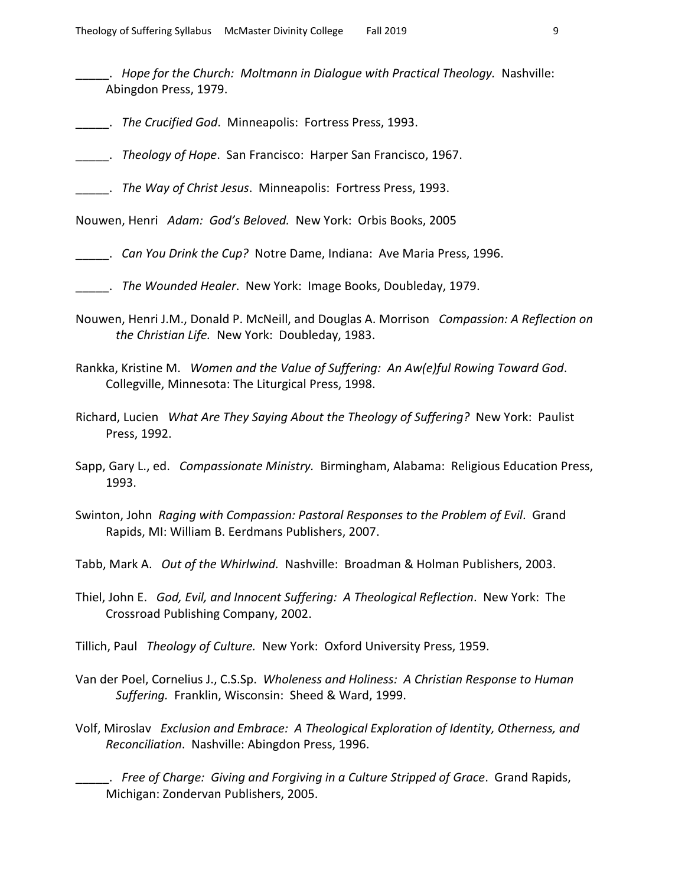- \_\_\_\_\_. *Hope for the Church: Moltmann in Dialogue with Practical Theology.* Nashville: Abingdon Press, 1979.
- \_\_\_\_\_. *The Crucified God*. Minneapolis: Fortress Press, 1993.
- \_\_\_\_\_. *Theology of Hope*. San Francisco: Harper San Francisco, 1967.
- \_\_\_\_\_. *The Way of Christ Jesus*. Minneapolis: Fortress Press, 1993.

Nouwen, Henri *Adam: God's Beloved.* New York: Orbis Books, 2005

- \_\_\_\_\_. *Can You Drink the Cup?* Notre Dame, Indiana: Ave Maria Press, 1996.
- \_\_\_\_\_. *The Wounded Healer*. New York: Image Books, Doubleday, 1979.
- Nouwen, Henri J.M., Donald P. McNeill, and Douglas A. Morrison *Compassion: A Reflection on the Christian Life.*New York: Doubleday, 1983.
- Rankka, Kristine M. *Women and the Value of Suffering: An Aw(e)ful Rowing Toward God*. Collegville, Minnesota: The Liturgical Press, 1998.
- Richard, Lucien *What Are They Saying About the Theology of Suffering?* New York: Paulist Press, 1992.
- Sapp, Gary L., ed. *Compassionate Ministry.* Birmingham, Alabama: Religious Education Press, 1993.
- Swinton, John *Raging with Compassion: Pastoral Responses to the Problem of Evil*. Grand Rapids, MI: William B. Eerdmans Publishers, 2007.
- Tabb, Mark A. *Out of the Whirlwind.* Nashville: Broadman & Holman Publishers, 2003.
- Thiel, John E. *God, Evil, and Innocent Suffering: A Theological Reflection*. New York: The Crossroad Publishing Company, 2002.
- Tillich, Paul *Theology of Culture.* New York: Oxford University Press, 1959.
- Van der Poel, Cornelius J., C.S.Sp. *Wholeness and Holiness: A Christian Response to Human Suffering.* Franklin, Wisconsin: Sheed & Ward, 1999.
- Volf, Miroslav *Exclusion and Embrace: A Theological Exploration of Identity, Otherness, and Reconciliation*. Nashville: Abingdon Press, 1996.
	- \_\_\_\_\_. *Free of Charge: Giving and Forgiving in a Culture Stripped of Grace*. Grand Rapids, Michigan: Zondervan Publishers, 2005.